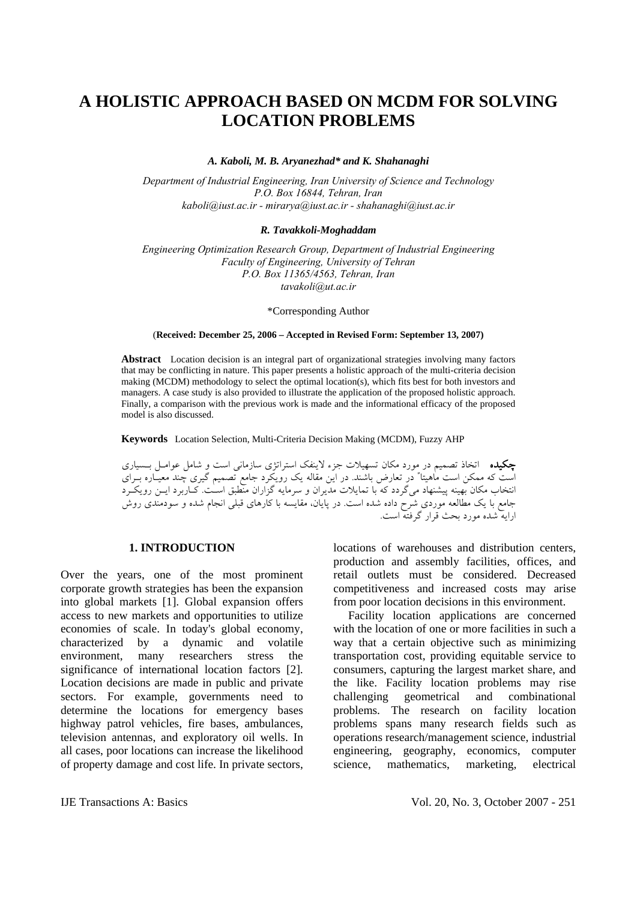# **A HOLISTIC APPROACH BASED ON MCDM FOR SOLVING LOCATION PROBLEMS**

*A. Kaboli, M. B. Aryanezhad\* and K. Shahanaghi* 

*Department of Industrial Engineering, Iran University of Science and Technology P.O. Box 16844, Tehran, Iran kaboli@iust.ac.ir - mirarya@iust.ac.ir - shahanaghi@iust.ac.ir* 

#### *R. Tavakkoli-Moghaddam*

*Engineering Optimization Research Group, Department of Industrial Engineering Faculty of Engineering, University of Tehran P.O. Box 11365/4563, Tehran, Iran tavakoli@ut.ac.ir* 

\*Corresponding Author

(**Received: December 25, 2006 – Accepted in Revised Form: September 13, 2007)** 

**Abstract** Location decision is an integral part of organizational strategies involving many factors that may be conflicting in nature. This paper presents a holistic approach of the multi-criteria decision making (MCDM) methodology to select the optimal location(s), which fits best for both investors and managers. A case study is also provided to illustrate the application of the proposed holistic approach. Finally, a comparison with the previous work is made and the informational efficacy of the proposed model is also discussed.

**Keywords** Location Selection, Multi-Criteria Decision Making (MCDM), Fuzzy AHP

چكيده اتخاذ تصميم در مورد مکان تسهيلات جزء لاينفک استراتژی سازماني است و شامل عوامـل بـسياری است که ممکن است ماهيتا" در تعارض باشند. در اين مقاله يك رويکرد جامع تصميم گيری چند معيـاره بـراي انتخاب مکان بهينه پيشنهاد ميگردد که با تمايلات مديران و سرمايه گزاران منطبق اسـت. کـاربرد ايـن رويکـرد جامع با يک مطالعه موردی شرح داده شده است. در پايان، مقايسه با کارهای قبلي انجام شده و سودمندی روش ارايه شده مورد بحث قرار گرفته است.

### **1. INTRODUCTION**

Over the years, one of the most prominent corporate growth strategies has been the expansion into global markets [1]. Global expansion offers access to new markets and opportunities to utilize economies of scale. In today's global economy, characterized by a dynamic and volatile environment, many researchers stress the significance of international location factors [2]. Location decisions are made in public and private sectors. For example, governments need to determine the locations for emergency bases highway patrol vehicles, fire bases, ambulances, television antennas, and exploratory oil wells. In all cases, poor locations can increase the likelihood of property damage and cost life. In private sectors, locations of warehouses and distribution centers, production and assembly facilities, offices, and retail outlets must be considered. Decreased competitiveness and increased costs may arise from poor location decisions in this environment.

 Facility location applications are concerned with the location of one or more facilities in such a way that a certain objective such as minimizing transportation cost, providing equitable service to consumers, capturing the largest market share, and the like. Facility location problems may rise challenging geometrical and combinational problems. The research on facility location problems spans many research fields such as operations research/management science, industrial engineering, geography, economics, computer science, mathematics, marketing, electrical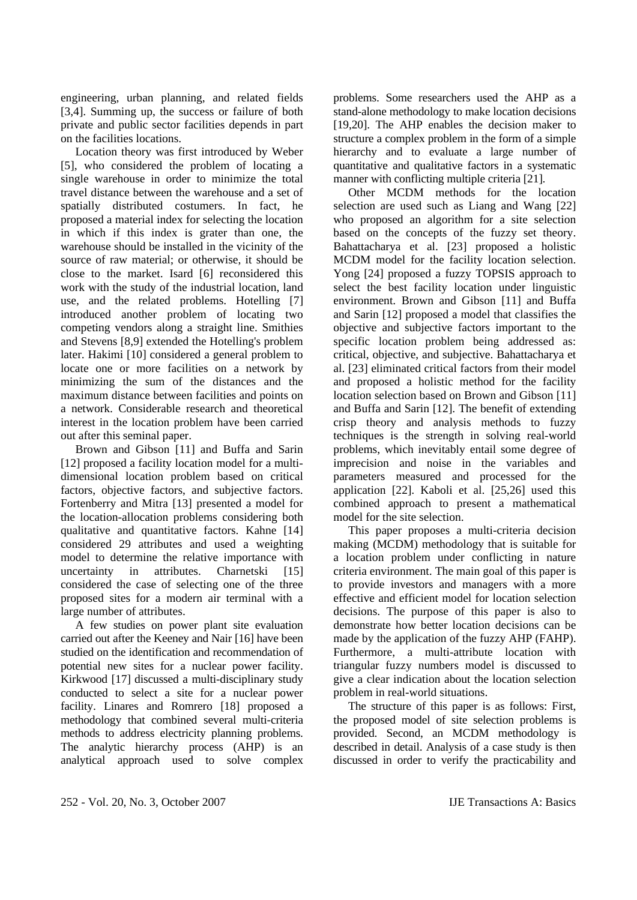engineering, urban planning, and related fields [3,4]. Summing up, the success or failure of both private and public sector facilities depends in part on the facilities locations.

 Location theory was first introduced by Weber [5], who considered the problem of locating a single warehouse in order to minimize the total travel distance between the warehouse and a set of spatially distributed costumers. In fact, he proposed a material index for selecting the location in which if this index is grater than one, the warehouse should be installed in the vicinity of the source of raw material; or otherwise, it should be close to the market. Isard [6] reconsidered this work with the study of the industrial location, land use, and the related problems. Hotelling [7] introduced another problem of locating two competing vendors along a straight line. Smithies and Stevens [8,9] extended the Hotelling's problem later. Hakimi [10] considered a general problem to locate one or more facilities on a network by minimizing the sum of the distances and the maximum distance between facilities and points on a network. Considerable research and theoretical interest in the location problem have been carried out after this seminal paper.

 Brown and Gibson [11] and Buffa and Sarin [12] proposed a facility location model for a multidimensional location problem based on critical factors, objective factors, and subjective factors. Fortenberry and Mitra [13] presented a model for the location-allocation problems considering both qualitative and quantitative factors. Kahne [14] considered 29 attributes and used a weighting model to determine the relative importance with uncertainty in attributes. Charnetski [15] considered the case of selecting one of the three proposed sites for a modern air terminal with a large number of attributes.

 A few studies on power plant site evaluation carried out after the Keeney and Nair [16] have been studied on the identification and recommendation of potential new sites for a nuclear power facility. Kirkwood [17] discussed a multi-disciplinary study conducted to select a site for a nuclear power facility. Linares and Romrero [18] proposed a methodology that combined several multi-criteria methods to address electricity planning problems. The analytic hierarchy process (AHP) is an analytical approach used to solve complex problems. Some researchers used the AHP as a stand-alone methodology to make location decisions [19,20]. The AHP enables the decision maker to structure a complex problem in the form of a simple hierarchy and to evaluate a large number of quantitative and qualitative factors in a systematic manner with conflicting multiple criteria [21].

 Other MCDM methods for the location selection are used such as Liang and Wang [22] who proposed an algorithm for a site selection based on the concepts of the fuzzy set theory. Bahattacharya et al. [23] proposed a holistic MCDM model for the facility location selection. Yong [24] proposed a fuzzy TOPSIS approach to select the best facility location under linguistic environment. Brown and Gibson [11] and Buffa and Sarin [12] proposed a model that classifies the objective and subjective factors important to the specific location problem being addressed as: critical, objective, and subjective. Bahattacharya et al. [23] eliminated critical factors from their model and proposed a holistic method for the facility location selection based on Brown and Gibson [11] and Buffa and Sarin [12]. The benefit of extending crisp theory and analysis methods to fuzzy techniques is the strength in solving real-world problems, which inevitably entail some degree of imprecision and noise in the variables and parameters measured and processed for the application [22]. Kaboli et al. [25,26] used this combined approach to present a mathematical model for the site selection.

 This paper proposes a multi-criteria decision making (MCDM) methodology that is suitable for a location problem under conflicting in nature criteria environment. The main goal of this paper is to provide investors and managers with a more effective and efficient model for location selection decisions. The purpose of this paper is also to demonstrate how better location decisions can be made by the application of the fuzzy AHP (FAHP). Furthermore, a multi-attribute location with triangular fuzzy numbers model is discussed to give a clear indication about the location selection problem in real-world situations.

 The structure of this paper is as follows: First, the proposed model of site selection problems is provided. Second, an MCDM methodology is described in detail. Analysis of a case study is then discussed in order to verify the practicability and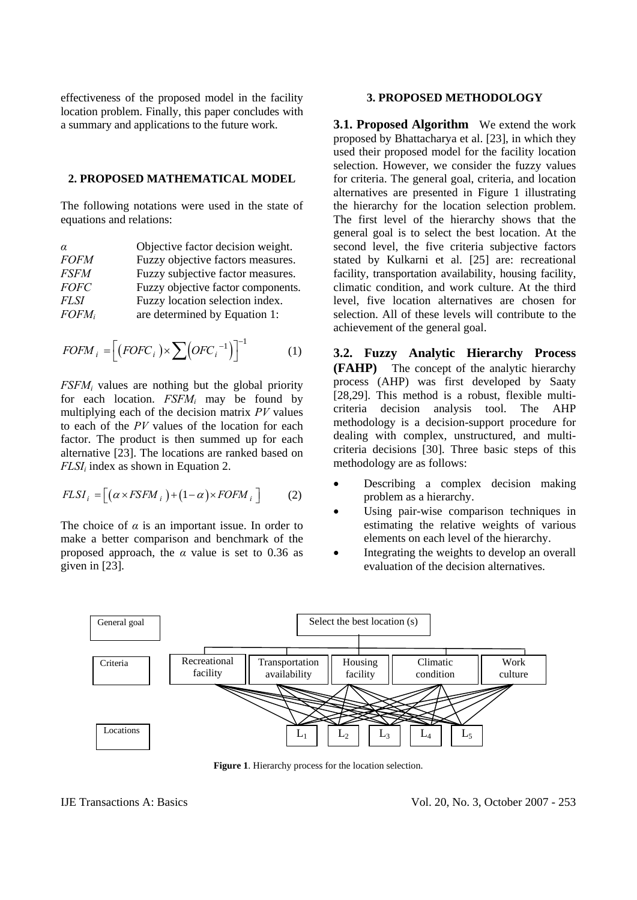effectiveness of the proposed model in the facility location problem. Finally, this paper concludes with a summary and applications to the future work.

#### **2. PROPOSED MATHEMATICAL MODEL**

The following notations were used in the state of equations and relations:

| $\alpha$    | Objective factor decision weight.  |
|-------------|------------------------------------|
| <b>FOFM</b> | Fuzzy objective factors measures.  |
| <i>FSFM</i> | Fuzzy subjective factor measures.  |
| <b>FOFC</b> | Fuzzy objective factor components. |
| <i>FLSI</i> | Fuzzy location selection index.    |
| $FOFM_i$    | are determined by Equation 1:      |

$$
FOFM_i = \left[ (FOFC_i) \times \sum (OFC_i^{-1}) \right]^{-1} \tag{1}
$$

*FSFMi* values are nothing but the global priority for each location. *FSFMi* may be found by multiplying each of the decision matrix *PV* values to each of the *PV* values of the location for each factor. The product is then summed up for each alternative [23]. The locations are ranked based on *FLSI<sub>i</sub>* index as shown in Equation 2.

$$
FLSI_i = [( \alpha \times FSEM_i ) + (1 - \alpha) \times FOFM_i ] \qquad (2)
$$

The choice of  $\alpha$  is an important issue. In order to make a better comparison and benchmark of the proposed approach, the *α* value is set to 0.36 as given in [23].

#### **3. PROPOSED METHODOLOGY**

**3.1. Proposed Algorithm** We extend the work proposed by Bhattacharya et al. [23], in which they used their proposed model for the facility location selection. However, we consider the fuzzy values for criteria. The general goal, criteria, and location alternatives are presented in Figure 1 illustrating the hierarchy for the location selection problem. The first level of the hierarchy shows that the general goal is to select the best location. At the second level, the five criteria subjective factors stated by Kulkarni et al. [25] are: recreational facility, transportation availability, housing facility, climatic condition, and work culture. At the third level, five location alternatives are chosen for selection. All of these levels will contribute to the achievement of the general goal.

**3.2. Fuzzy Analytic Hierarchy Process (FAHP)** The concept of the analytic hierarchy process (AHP) was first developed by Saaty [28,29]. This method is a robust, flexible multicriteria decision analysis tool. The AHP methodology is a decision-support procedure for dealing with complex, unstructured, and multicriteria decisions [30]. Three basic steps of this methodology are as follows:

- Describing a complex decision making problem as a hierarchy.
- Using pair-wise comparison techniques in estimating the relative weights of various elements on each level of the hierarchy.
- Integrating the weights to develop an overall evaluation of the decision alternatives.



**Figure 1**. Hierarchy process for the location selection.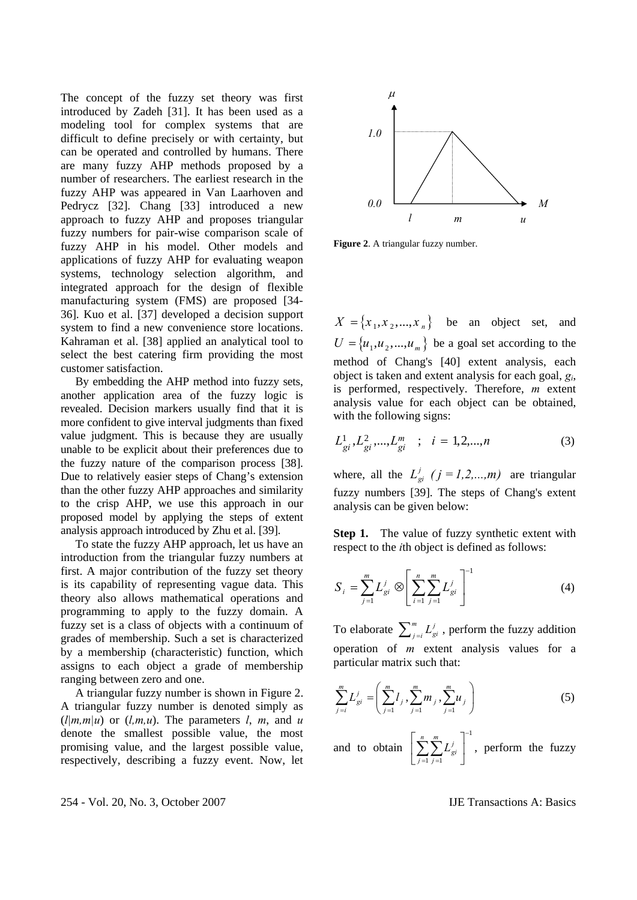The concept of the fuzzy set theory was first introduced by Zadeh [31]. It has been used as a modeling tool for complex systems that are difficult to define precisely or with certainty, but can be operated and controlled by humans. There are many fuzzy AHP methods proposed by a number of researchers. The earliest research in the fuzzy AHP was appeared in Van Laarhoven and Pedrycz [32]. Chang [33] introduced a new approach to fuzzy AHP and proposes triangular fuzzy numbers for pair-wise comparison scale of fuzzy AHP in his model. Other models and applications of fuzzy AHP for evaluating weapon systems, technology selection algorithm, and integrated approach for the design of flexible manufacturing system (FMS) are proposed [34- 36]. Kuo et al. [37] developed a decision support system to find a new convenience store locations. Kahraman et al. [38] applied an analytical tool to select the best catering firm providing the most customer satisfaction.

 By embedding the AHP method into fuzzy sets, another application area of the fuzzy logic is revealed. Decision markers usually find that it is more confident to give interval judgments than fixed value judgment. This is because they are usually unable to be explicit about their preferences due to the fuzzy nature of the comparison process [38]. Due to relatively easier steps of Chang's extension than the other fuzzy AHP approaches and similarity to the crisp AHP, we use this approach in our proposed model by applying the steps of extent analysis approach introduced by Zhu et al. [39].

 To state the fuzzy AHP approach, let us have an introduction from the triangular fuzzy numbers at first. A major contribution of the fuzzy set theory is its capability of representing vague data. This theory also allows mathematical operations and programming to apply to the fuzzy domain. A fuzzy set is a class of objects with a continuum of grades of membership. Such a set is characterized by a membership (characteristic) function, which assigns to each object a grade of membership ranging between zero and one.

 A triangular fuzzy number is shown in Figure 2. A triangular fuzzy number is denoted simply as  $(l|m,m|u)$  or  $(l,m,u)$ . The parameters *l, m, and u* denote the smallest possible value, the most promising value, and the largest possible value, respectively, describing a fuzzy event. Now, let



**Figure 2**. A triangular fuzzy number.

 $X = \{x_1, x_2, ..., x_n\}$  be an object set, and  $U = \{u_1, u_2, ..., u_m\}$  be a goal set according to the method of Chang's [40] extent analysis, each object is taken and extent analysis for each goal, *gi*, is performed, respectively. Therefore, *m* extent analysis value for each object can be obtained, with the following signs:

$$
L_{gi}^{1}, L_{gi}^{2}, ..., L_{gi}^{m} \quad ; \quad i = 1, 2, ..., n \tag{3}
$$

where, all the  $L_{qi}^{j}$  ( $j = 1,2,...,m$ ) are triangular fuzzy numbers [39]. The steps of Chang's extent analysis can be given below:

**Step 1.** The value of fuzzy synthetic extent with respect to the *i*th object is defined as follows:

$$
S_{i} = \sum_{j=1}^{m} L_{gi}^{j} \otimes \left[ \sum_{i=1}^{n} \sum_{j=1}^{m} L_{gi}^{j} \right]^{-1}
$$
 (4)

To elaborate  $\sum_{j=i}^{m} L_{gi}^{j}$ , perform the fuzzy addition operation of *m* extent analysis values for a particular matrix such that:

$$
\sum_{j=i}^{m} L_{gi}^{j} = \left( \sum_{j=1}^{m} l_j \sum_{j=1}^{m} m_j \sum_{j=1}^{m} u_j \right)
$$
 (5)

and to obtain 1  $-1 \, j =1$  $\sum_{j=1}^{n} \sum_{j=1}^{m} L_{gi}^{j}$ *L* −  $\left[ \sum_{j=1}^{n} \sum_{j=1}^{m} L_{gi}^{j} \right]$ , perform the fuzzy

254 - Vol. 20, No. 3, October 2007 IJE Transactions A: Basics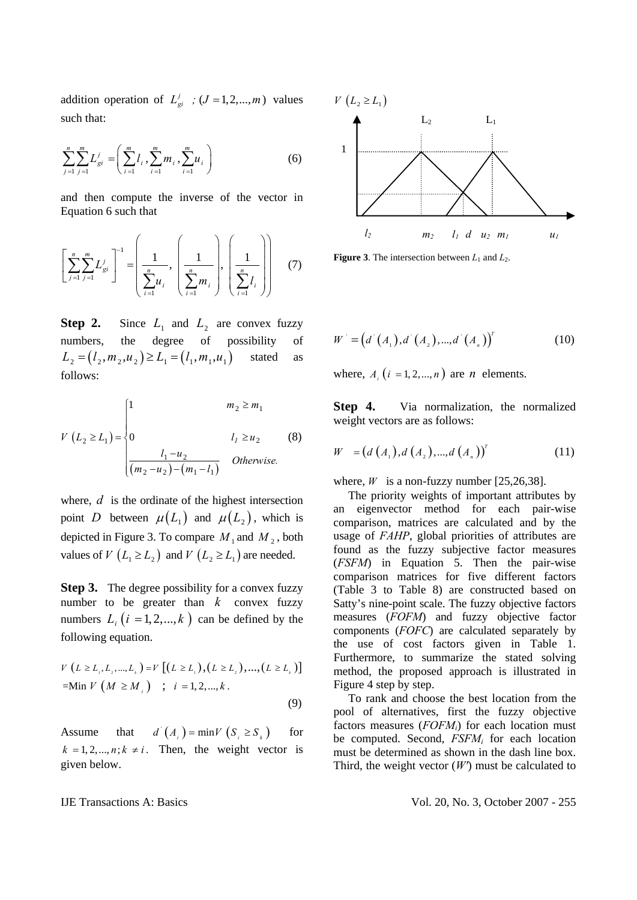addition operation of  $L_{qi}^{j}$  ;  $(J = 1,2,..., m)$  values such that:

$$
\sum_{j=1}^{n} \sum_{j=1}^{m} L_{gi}^{j} = \left( \sum_{i=1}^{m} l_{i}, \sum_{i=1}^{m} m_{i}, \sum_{i=1}^{m} u_{i} \right)
$$
 (6)

and then compute the inverse of the vector in Equation 6 such that

$$
\left[\sum_{j=1}^{n} \sum_{j=1}^{m} L_{gi}^{j}\right]^{-1} = \left(\frac{1}{\sum_{i=1}^{n} u_{i}}, \left(\frac{1}{\sum_{i=1}^{n} m_{i}}\right), \left(\frac{1}{\sum_{i=1}^{n} l_{i}}\right)\right)
$$
(7)

**Step 2.** Since  $L_1$  and  $L_2$  are convex fuzzy numbers, the degree of possibility of  $L_2 = (l_2, m_2, u_2) \ge L_1 = (l_1, m_1, u_1)$  stated as follows:

$$
V (L_2 \ge L_1) = \begin{cases} 1 & m_2 \ge m_1 \\ 0 & l_1 \ge u_2 \\ \frac{l_1 - u_2}{(m_2 - u_2) - (m_1 - l_1)} & Otherwise. \end{cases}
$$
 (8)

where, *d* is the ordinate of the highest intersection point *D* between  $\mu(L_1)$  and  $\mu(L_2)$ , which is depicted in Figure 3. To compare  $M_1$  and  $M_2$ , both values of *V*  $(L_1 \ge L_2)$  and *V*  $(L_2 \ge L_1)$  are needed.

**Step 3.** The degree possibility for a convex fuzzy number to be greater than  $k$  convex fuzzy numbers  $L_i$   $(i = 1, 2, ..., k)$  can be defined by the following equation.

$$
V (L \ge L_{i}, L_{i},..., L_{k}) = V [(L \ge L_{i}), (L \ge L_{i}),..., (L \ge L_{k})]
$$
  
=Min V (M \ge M\_{i}) ; i = 1, 2,..., k. (9)

Assume that  $d^{(i)}(A_i) = \min V(S_i \ge S_k)$  for  $k = 1, 2, \dots, n; k \neq i$ . Then, the weight vector is given below.



**Figure 3**. The intersection between  $L_1$  and  $L_2$ .

$$
W' = (d'(A_1), d'(A_2), ..., d'(A_n))^{T}
$$
 (10)

where,  $A_i$   $(i = 1, 2, ..., n)$  are *n* elements.

**Step 4.** Via normalization, the normalized weight vectors are as follows:

$$
W = (d(A_1), d(A_2), ..., d(A_n))^{T}
$$
 (11)

where,  $W$  is a non-fuzzy number [25,26,38].

 The priority weights of important attributes by an eigenvector method for each pair-wise comparison, matrices are calculated and by the usage of *FAHP*, global priorities of attributes are found as the fuzzy subjective factor measures (*FSFM*) in Equation 5. Then the pair-wise comparison matrices for five different factors (Table 3 to Table 8) are constructed based on Satty's nine-point scale. The fuzzy objective factors measures (*FOFM*) and fuzzy objective factor components (*FOFC*) are calculated separately by the use of cost factors given in Table 1. Furthermore, to summarize the stated solving method, the proposed approach is illustrated in Figure 4 step by step.

 To rank and choose the best location from the pool of alternatives, first the fuzzy objective factors measures (*FOFMi*) for each location must be computed. Second,  $FSFM_i$  for each location must be determined as shown in the dash line box. Third, the weight vector  $(W)$  must be calculated to

IJE Transactions A: Basics Vol. 20, No. 3, October 2007 - 255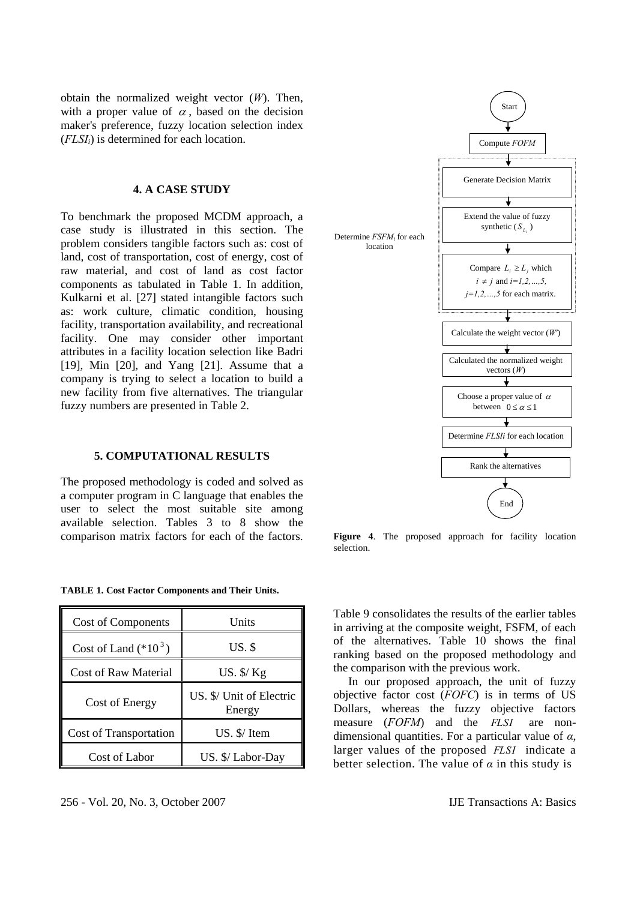obtain the normalized weight vector (*W*). Then, with a proper value of  $\alpha$ , based on the decision maker's preference, fuzzy location selection index (*FLSIi*) is determined for each location.

#### **4. A CASE STUDY**

To benchmark the proposed MCDM approach, a case study is illustrated in this section. The problem considers tangible factors such as: cost of land, cost of transportation, cost of energy, cost of raw material, and cost of land as cost factor components as tabulated in Table 1. In addition, Kulkarni et al. [27] stated intangible factors such as: work culture, climatic condition, housing facility, transportation availability, and recreational facility. One may consider other important attributes in a facility location selection like Badri [19], Min [20], and Yang [21]. Assume that a company is trying to select a location to build a new facility from five alternatives. The triangular fuzzy numbers are presented in Table 2.

#### **5. COMPUTATIONAL RESULTS**

The proposed methodology is coded and solved as a computer program in C language that enables the user to select the most suitable site among available selection. Tables 3 to 8 show the comparison matrix factors for each of the factors.

**TABLE 1. Cost Factor Components and Their Units.** 

| <b>Cost of Components</b> | Units                              |
|---------------------------|------------------------------------|
| Cost of Land $(*10^3)$    | $US.$ \$                           |
| Cost of Raw Material      | US. $\frac{5}{2}$ Kg               |
| Cost of Energy            | US. \$/ Unit of Electric<br>Energy |
| Cost of Transportation    | US. \$/Item                        |
| Cost of Labor             | US. \$/ Labor-Day                  |



Figure 4. The proposed approach for facility location selection.

Table 9 consolidates the results of the earlier tables in arriving at the composite weight, FSFM, of each of the alternatives. Table 10 shows the final ranking based on the proposed methodology and the comparison with the previous work.

 In our proposed approach, the unit of fuzzy objective factor cost (*FOFC*) is in terms of US Dollars, whereas the fuzzy objective factors measure (*FOFM*) and the *FLSI* are nondimensional quantities. For a particular value of *α*, larger values of the proposed *FLSI* indicate a better selection. The value of  $\alpha$  in this study is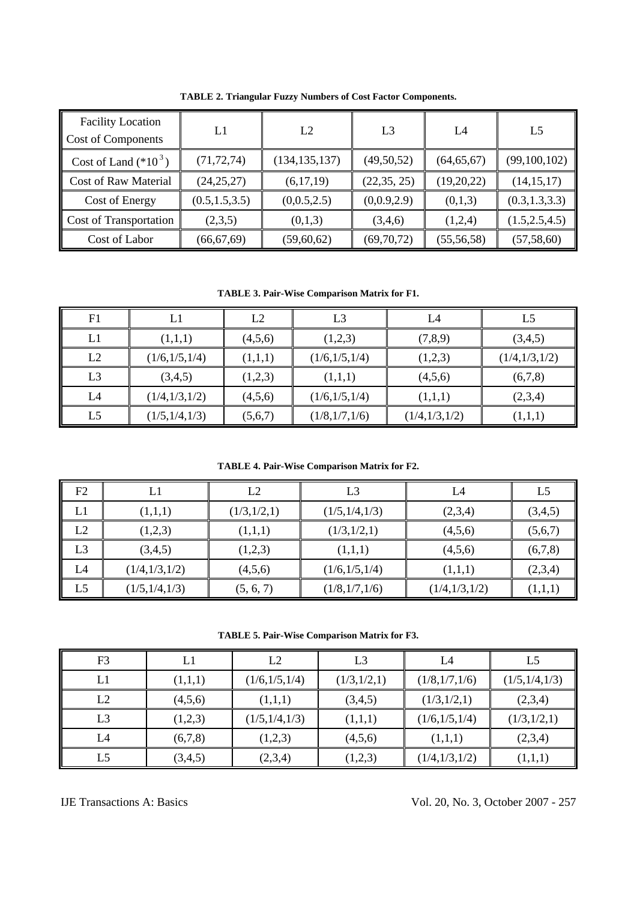| <b>Facility Location</b><br>Cost of Components | L1              | L2              | L <sub>3</sub> | L4           | L <sub>5</sub>  |
|------------------------------------------------|-----------------|-----------------|----------------|--------------|-----------------|
| Cost of Land $(*10^3)$                         | (71, 72, 74)    | (134, 135, 137) | (49, 50, 52)   | (64, 65, 67) | (99, 100, 102)  |
| <b>Cost of Raw Material</b>                    | (24, 25, 27)    | (6,17,19)       | (22, 35, 25)   | (19,20,22)   | (14, 15, 17)    |
| Cost of Energy                                 | (0.5, 1.5, 3.5) | (0,0.5,2.5)     | (0,0.9,2.9)    | (0,1,3)      | (0.3, 1.3, 3.3) |
| <b>Cost of Transportation</b>                  | (2,3,5)         | (0,1,3)         | (3,4,6)        | (1,2,4)      | (1.5, 2.5, 4.5) |
| Cost of Labor                                  | (66, 67, 69)    | (59, 60, 62)    | (69,70,72)     | (55, 56, 58) | (57, 58, 60)    |

**TABLE 2. Triangular Fuzzy Numbers of Cost Factor Components.** 

**TABLE 3. Pair-Wise Comparison Matrix for F1.**

| F1             | L1              | L2      | L3              | L4              | L5            |
|----------------|-----------------|---------|-----------------|-----------------|---------------|
| L1             | (1,1,1)         | (4,5,6) | (1,2,3)         | (7,8,9)         | (3,4,5)       |
| L2             | (1/6, 1/5, 1/4) | (1,1,1) | (1/6, 1/5, 1/4) | (1,2,3)         | (1/4,1/3,1/2) |
| L <sub>3</sub> | (3,4,5)         | (1,2,3) | (1,1,1)         | (4,5,6)         | (6,7,8)       |
| L4             | (1/4, 1/3, 1/2) | (4,5,6) | (1/6, 1/5, 1/4) | (1,1,1)         | (2,3,4)       |
| L5             | (1/5, 1/4, 1/3) | (5,6,7) | (1/8,1/7,1/6)   | (1/4, 1/3, 1/2) | (1,1,1)       |

**TABLE 4. Pair-Wise Comparison Matrix for F2.** 

| F2 | L1              | L2          | L3              | L4            | L5      |
|----|-----------------|-------------|-----------------|---------------|---------|
| L1 | (1,1,1)         | (1/3,1/2,1) | (1/5,1/4,1/3)   | (2,3,4)       | (3,4,5) |
| L2 | (1,2,3)         | (1,1,1)     | (1/3,1/2,1)     | (4,5,6)       | (5,6,7) |
| L3 | (3,4,5)         | (1,2,3)     | (1,1,1)         | (4,5,6)       | (6,7,8) |
| L4 | (1/4, 1/3, 1/2) | (4,5,6)     | (1/6, 1/5, 1/4) | (1,1,1)       | (2,3,4) |
| L5 | (1/5, 1/4, 1/3) | (5, 6, 7)   | (1/8,1/7,1/6)   | (1/4,1/3,1/2) | (1,1,1) |

**TABLE 5. Pair-Wise Comparison Matrix for F3.** 

| F <sub>3</sub> | LI      | L2              | L3          | L4              | L5              |
|----------------|---------|-----------------|-------------|-----------------|-----------------|
| L1             | (1,1,1) | (1/6, 1/5, 1/4) | (1/3,1/2,1) | (1/8,1/7,1/6)   | (1/5, 1/4, 1/3) |
| L2             | (4,5,6) | (1,1,1)         | (3,4,5)     | (1/3,1/2,1)     | (2,3,4)         |
| L <sub>3</sub> | (1,2,3) | (1/5, 1/4, 1/3) | (1,1,1)     | (1/6, 1/5, 1/4) | (1/3,1/2,1)     |
| L4             | (6,7,8) | (1,2,3)         | (4,5,6)     | (1,1,1)         | (2,3,4)         |
| L5             | (3,4,5) | (2,3,4)         | (1,2,3)     | (1/4, 1/3, 1/2) | (1,1,1)         |

IJE Transactions A: Basics Vol. 20, No. 3, October 2007 - 257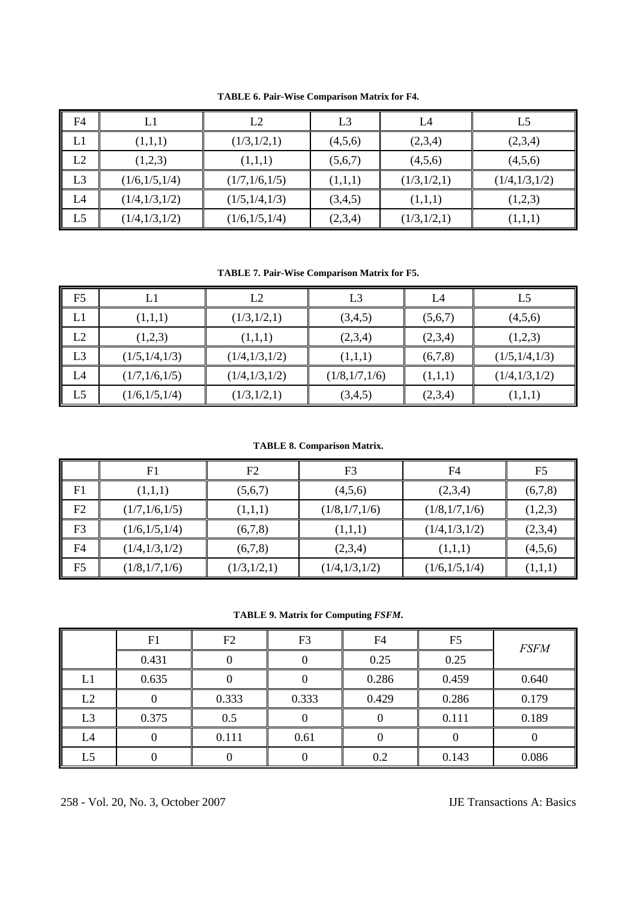| F4             |                 | L2              | L <sub>3</sub> | L4          | L5            |
|----------------|-----------------|-----------------|----------------|-------------|---------------|
| L1             | (1,1,1)         | (1/3,1/2,1)     | (4,5,6)        | (2,3,4)     | (2,3,4)       |
| L2             | (1,2,3)         | (1,1,1)         | (5,6,7)        | (4,5,6)     | (4,5,6)       |
| L <sub>3</sub> | (1/6, 1/5, 1/4) | (1/7,1/6,1/5)   | (1,1,1)        | (1/3,1/2,1) | (1/4,1/3,1/2) |
| L4             | (1/4,1/3,1/2)   | (1/5, 1/4, 1/3) | (3,4,5)        | (1,1,1)     | (1,2,3)       |
| L <sub>5</sub> | (1/4,1/3,1/2)   | (1/6, 1/5, 1/4) | (2,3,4)        | (1/3,1/2,1) | (1,1,1)       |

**TABLE 6. Pair-Wise Comparison Matrix for F4.** 

**TABLE 7. Pair-Wise Comparison Matrix for F5.** 

| F <sub>5</sub> |                 | L2              | L <sub>3</sub> | L4      | L5              |
|----------------|-----------------|-----------------|----------------|---------|-----------------|
| L1             | (1,1,1)         | (1/3,1/2,1)     | (3,4,5)        | (5,6,7) | (4,5,6)         |
| L2             | (1,2,3)         | (1,1,1)         | (2,3,4)        | (2,3,4) | (1,2,3)         |
| L3             | (1/5, 1/4, 1/3) | (1/4,1/3,1/2)   | (1,1,1)        | (6,7,8) | (1/5, 1/4, 1/3) |
| L4             | (1/7,1/6,1/5)   | (1/4, 1/3, 1/2) | (1/8,1/7,1/6)  | (1,1,1) | (1/4,1/3,1/2)   |
| L <sub>5</sub> | (1/6, 1/5, 1/4) | (1/3,1/2,1)     | (3,4,5)        | (2,3,4) | (1,1,1)         |

**TABLE 8. Comparison Matrix.** 

|                | F1              | F2          | F <sub>3</sub>  | F4              | F <sub>5</sub> |
|----------------|-----------------|-------------|-----------------|-----------------|----------------|
| F1             | (1,1,1)         | (5,6,7)     | (4,5,6)         | (2,3,4)         | (6,7,8)        |
| F2             | (1/7, 1/6, 1/5) | (1,1,1)     | (1/8,1/7,1/6)   | (1/8,1/7,1/6)   | (1,2,3)        |
| F <sub>3</sub> | (1/6, 1/5, 1/4) | (6,7,8)     | (1,1,1)         | (1/4, 1/3, 1/2) | (2,3,4)        |
| F <sub>4</sub> | (1/4, 1/3, 1/2) | (6,7,8)     | (2,3,4)         | (1,1,1)         | (4,5,6)        |
| F <sub>5</sub> | (1/8,1/7,1/6)   | (1/3,1/2,1) | (1/4, 1/3, 1/2) | (1/6, 1/5, 1/4) | (1,1,1)        |

**TABLE 9. Matrix for Computing** *FSFM***.** 

|    | F1    | F2    | F3    | F <sub>4</sub> | F <sub>5</sub> | <b>FSFM</b> |
|----|-------|-------|-------|----------------|----------------|-------------|
|    | 0.431 |       |       | 0.25           | 0.25           |             |
| L1 | 0.635 |       |       | 0.286          | 0.459          | 0.640       |
| L2 |       | 0.333 | 0.333 | 0.429          | 0.286          | 0.179       |
| L3 | 0.375 | 0.5   |       |                | 0.111          | 0.189       |
| L4 |       | 0.111 | 0.61  |                |                |             |
| L5 |       |       |       | 0.2            | 0.143          | 0.086       |

258 - Vol. 20, No. 3, October 2007 IJE Transactions A: Basics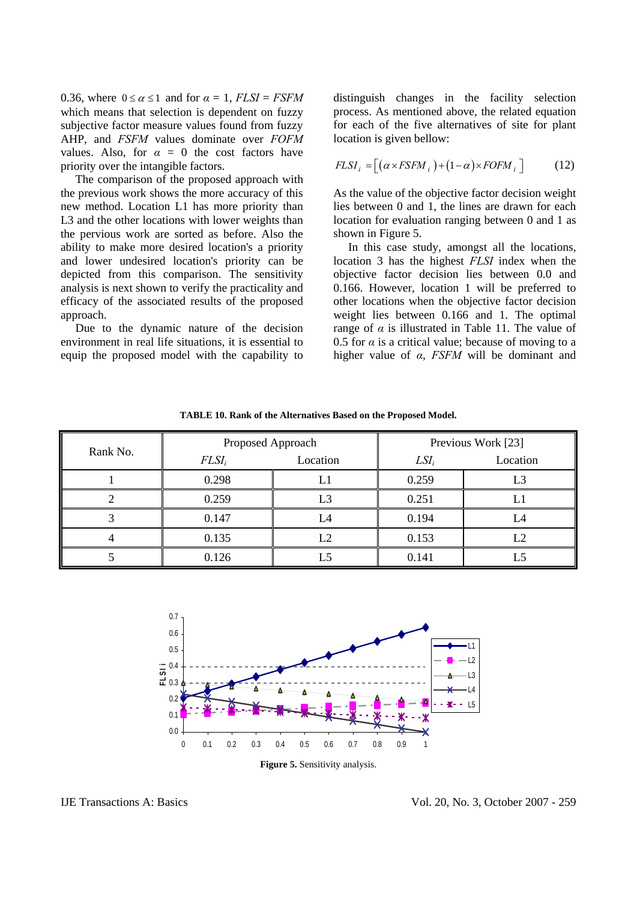0.36, where  $0 \le \alpha \le 1$  and for  $\alpha = 1$ ,  $FLSI = FSHM$ which means that selection is dependent on fuzzy subjective factor measure values found from fuzzy AHP, and *FSFM* values dominate over *FOFM* values. Also, for  $\alpha = 0$  the cost factors have priority over the intangible factors.

 The comparison of the proposed approach with the previous work shows the more accuracy of this new method. Location L1 has more priority than L3 and the other locations with lower weights than the pervious work are sorted as before. Also the ability to make more desired location's a priority and lower undesired location's priority can be depicted from this comparison. The sensitivity analysis is next shown to verify the practicality and efficacy of the associated results of the proposed approach.

 Due to the dynamic nature of the decision environment in real life situations, it is essential to equip the proposed model with the capability to distinguish changes in the facility selection process. As mentioned above, the related equation for each of the five alternatives of site for plant location is given bellow:

$$
FLSI_i = [( \alpha \times FSEM_i ) + (1 - \alpha) \times FOFM_i ] \tag{12}
$$

As the value of the objective factor decision weight lies between 0 and 1, the lines are drawn for each location for evaluation ranging between 0 and 1 as shown in Figure 5.

 In this case study, amongst all the locations, location 3 has the highest *FLSI* index when the objective factor decision lies between 0.0 and 0.166. However, location 1 will be preferred to other locations when the objective factor decision weight lies between 0.166 and 1. The optimal range of  $\alpha$  is illustrated in Table 11. The value of 0.5 for  $\alpha$  is a critical value; because of moving to a higher value of *α*, *FSFM* will be dominant and

**TABLE 10. Rank of the Alternatives Based on the Proposed Model.** 

| Rank No. | Proposed Approach |                |         | Previous Work [23] |
|----------|-------------------|----------------|---------|--------------------|
|          | FLSI <sub>i</sub> | Location       | $LSI_i$ | Location           |
|          | 0.298             | L1             | 0.259   | L3                 |
|          | 0.259             | L3             | 0.251   | L1                 |
|          | 0.147             | $\mathcal{A}%$ | 0.194   | Ĺ4                 |
|          | 0.135             | L2             | 0.153   |                    |
|          | 0.126             | 5. ا           | 0.141   | L5                 |



**Figure 5.** Sensitivity analysis.

IJE Transactions A: Basics Vol. 20, No. 3, October 2007 - 259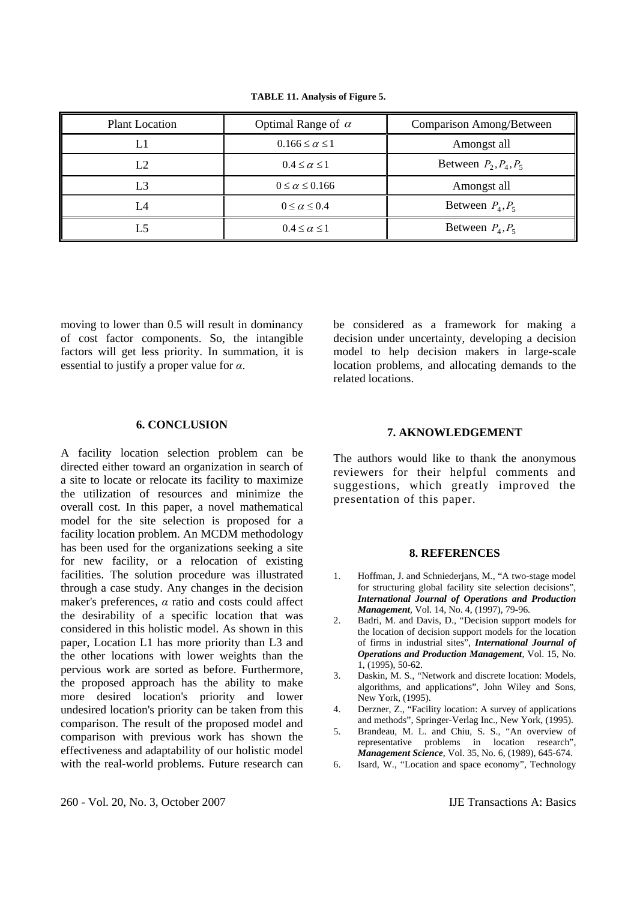| <b>Plant Location</b> | Optimal Range of $\alpha$  | Comparison Among/Between |
|-----------------------|----------------------------|--------------------------|
|                       | $0.166 \leq \alpha \leq 1$ | Amongst all              |
| L2                    | $0.4 \leq \alpha \leq 1$   | Between $P_2, P_4, P_5$  |
| L3                    | $0 \leq \alpha \leq 0.166$ | Amongst all              |
| L4                    | $0 \leq \alpha \leq 0.4$   | Between $P_4, P_5$       |
| L5                    | $0.4 \leq \alpha \leq 1$   | Between $P_4, P_5$       |

**TABLE 11. Analysis of Figure 5.** 

moving to lower than 0.5 will result in dominancy of cost factor components. So, the intangible factors will get less priority. In summation, it is essential to justify a proper value for *α*.

#### **6. CONCLUSION**

A facility location selection problem can be directed either toward an organization in search of a site to locate or relocate its facility to maximize the utilization of resources and minimize the overall cost. In this paper, a novel mathematical model for the site selection is proposed for a facility location problem. An MCDM methodology has been used for the organizations seeking a site for new facility, or a relocation of existing facilities. The solution procedure was illustrated through a case study. Any changes in the decision maker's preferences, *α* ratio and costs could affect the desirability of a specific location that was considered in this holistic model. As shown in this paper, Location L1 has more priority than L3 and the other locations with lower weights than the pervious work are sorted as before. Furthermore, the proposed approach has the ability to make more desired location's priority and lower undesired location's priority can be taken from this comparison. The result of the proposed model and comparison with previous work has shown the effectiveness and adaptability of our holistic model with the real-world problems. Future research can be considered as a framework for making a decision under uncertainty, developing a decision model to help decision makers in large-scale location problems, and allocating demands to the related locations.

## **7. AKNOWLEDGEMENT**

The authors would like to thank the anonymous reviewers for their helpful comments and suggestions, which greatly improved the presentation of this paper.

#### **8. REFERENCES**

- 1. Hoffman, J. and Schniederjans, M., "A two-stage model for structuring global facility site selection decisions", *International Journal of Operations and Production Management*, Vol. 14, No. 4, (1997), 79-96.
- 2. Badri, M. and Davis, D., "Decision support models for the location of decision support models for the location of firms in industrial sites", *International Journal of Operations and Production Management*, Vol. 15, No. 1, (1995), 50-62.
- 3. Daskin, M. S., "Network and discrete location: Models, algorithms, and applications", John Wiley and Sons, New York, (1995).
- 4. Derzner, Z., "Facility location: A survey of applications and methods", Springer-Verlag Inc., New York, (1995).
- 5. Brandeau, M. L. and Chiu, S. S., "An overview of representative problems in location research", *Management Science*, Vol. 35, No. 6, (1989), 645-674.
- 6. Isard, W., "Location and space economy", Technology

260 - Vol. 20, No. 3, October 2007 IJE Transactions A: Basics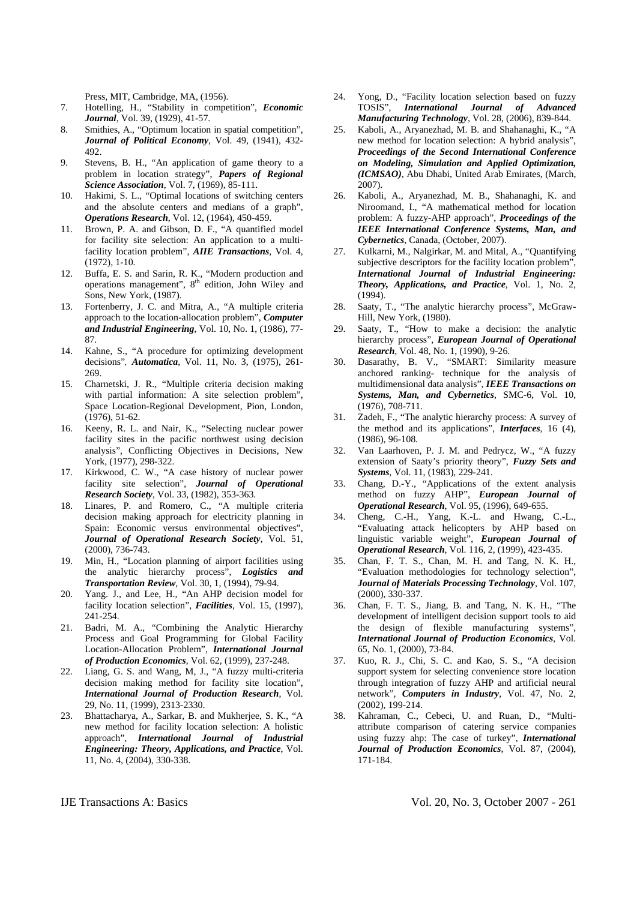Press, MIT, Cambridge, MA, (1956).

- 7. Hotelling, H., "Stability in competition", *Economic Journal*, Vol. 39, (1929), 41-57.
- 8. Smithies, A., "Optimum location in spatial competition", *Journal of Political Economy*, Vol. 49, (1941), 432- 492.
- 9. Stevens, B. H., "An application of game theory to a problem in location strategy", *Papers of Regional Science Association*, Vol. 7, (1969), 85-111.
- 10. Hakimi, S. L., "Optimal locations of switching centers and the absolute centers and medians of a graph", *Operations Research*, Vol. 12, (1964), 450-459.
- 11. Brown, P. A. and Gibson, D. F., "A quantified model for facility site selection: An application to a multifacility location problem", *AIIE Transactions*, Vol. 4, (1972), 1-10.
- 12. Buffa, E. S. and Sarin, R. K., "Modern production and operations management", 8<sup>th</sup> edition, John Wiley and Sons, New York, (1987).
- 13. Fortenberry, J. C. and Mitra, A., "A multiple criteria approach to the location-allocation problem", *Computer and Industrial Engineering*, Vol. 10, No. 1, (1986), 77- 87.
- 14. Kahne, S., "A procedure for optimizing development decisions"*, Automatica*, Vol. 11, No. 3, (1975), 261- 269.
- 15. Charnetski, J. R., "Multiple criteria decision making with partial information: A site selection problem", Space Location-Regional Development, Pion, London, (1976), 51-62.
- 16. Keeny, R. L. and Nair, K., "Selecting nuclear power facility sites in the pacific northwest using decision analysis", Conflicting Objectives in Decisions, New York, (1977), 298-322.
- 17. Kirkwood, C. W., "A case history of nuclear power facility site selection", *Journal of Operational Research Society*, Vol. 33, (1982), 353-363.
- 18. Linares, P. and Romero, C., "A multiple criteria decision making approach for electricity planning in Spain: Economic versus environmental objectives", *Journal of Operational Research Society*, Vol. 51, (2000), 736-743.
- 19. Min, H., "Location planning of airport facilities using the analytic hierarchy process", *Logistics and Transportation Review*, Vol. 30, 1, (1994), 79-94.
- 20. Yang. J., and Lee, H., "An AHP decision model for facility location selection", *Facilities*, Vol. 15, (1997), 241-254.
- 21. Badri, M. A., "Combining the Analytic Hierarchy Process and Goal Programming for Global Facility Location-Allocation Problem", *International Journal of Production Economics*, Vol. 62, (1999), 237-248.
- 22. Liang, G. S. and Wang, M, J., "A fuzzy multi-criteria decision making method for facility site location", *International Journal of Production Research*, Vol. 29, No. 11, (1999), 2313-2330.
- 23. Bhattacharya, A., Sarkar, B. and Mukherjee, S. K., "A new method for facility location selection: A holistic approach", *International Journal of Industrial Engineering: Theory, Applications, and Practice*, Vol. 11, No. 4, (2004), 330-338.
- 24. Yong, D., "Facility location selection based on fuzzy TOSIS", *International Journal of Advanced Manufacturing Technology*, Vol. 28, (2006), 839-844.
- 25. Kaboli, A., Aryanezhad, M. B. and Shahanaghi, K., "A new method for location selection: A hybrid analysis", *Proceedings of the Second International Conference on Modeling, Simulation and Applied Optimization, (ICMSAO)*, Abu Dhabi, United Arab Emirates, (March, 2007).
- 26. Kaboli, A., Aryanezhad, M. B., Shahanaghi, K. and Niroomand, I., "A mathematical method for location problem: A fuzzy-AHP approach", *Proceedings of the IEEE International Conference Systems, Man, and Cybernetics*, Canada, (October, 2007).
- 27. Kulkarni, M., Nalgirkar, M. and Mital, A., "Quantifying subjective descriptors for the facility location problem", *International Journal of Industrial Engineering: Theory, Applications, and Practice*, Vol. 1, No. 2, (1994).
- 28. Saaty, T., "The analytic hierarchy process", McGraw-Hill, New York, (1980).
- 29. Saaty, T., "How to make a decision: the analytic hierarchy process", *European Journal of Operational Research*, Vol. 48, No. 1, (1990), 9-26.
- 30. Dasarathy, B. V., "SMART: Similarity measure anchored ranking- technique for the analysis of multidimensional data analysis", *IEEE Transactions on Systems, Man, and Cybernetics*, SMC-6, Vol. 10, (1976), 708-711.
- 31. Zadeh, F., "The analytic hierarchy process: A survey of the method and its applications", *Interfaces*, 16 (4), (1986), 96-108.
- 32. Van Laarhoven, P. J. M. and Pedrycz, W., "A fuzzy extension of Saaty's priority theory", *Fuzzy Sets and Systems*, Vol. 11, (1983), 229-241.
- 33. Chang, D.-Y., "Applications of the extent analysis method on fuzzy AHP", *European Journal of Operational Research*, Vol. 95, (1996), 649-655.
- 34. Cheng, C.-H., Yang, K.-L. and Hwang, C.-L., "Evaluating attack helicopters by AHP based on linguistic variable weight", *European Journal of Operational Research*, Vol. 116, 2, (1999), 423-435.
- 35. Chan, F. T. S., Chan, M. H. and Tang, N. K. H., "Evaluation methodologies for technology selection", *Journal of Materials Processing Technology*, Vol. 107, (2000), 330-337.
- 36. Chan, F. T. S., Jiang, B. and Tang, N. K. H., "The development of intelligent decision support tools to aid the design of flexible manufacturing systems", *International Journal of Production Economics*, Vol. 65, No. 1, (2000), 73-84.
- 37. Kuo, R. J., Chi, S. C. and Kao, S. S., "A decision support system for selecting convenience store location through integration of fuzzy AHP and artificial neural network", *Computers in Industry*, Vol. 47, No. 2, (2002), 199-214.
- 38. Kahraman, C., Cebeci, U. and Ruan, D., "Multiattribute comparison of catering service companies using fuzzy ahp: The case of turkey", *International Journal of Production Economics*, Vol. 87, (2004), 171-184.